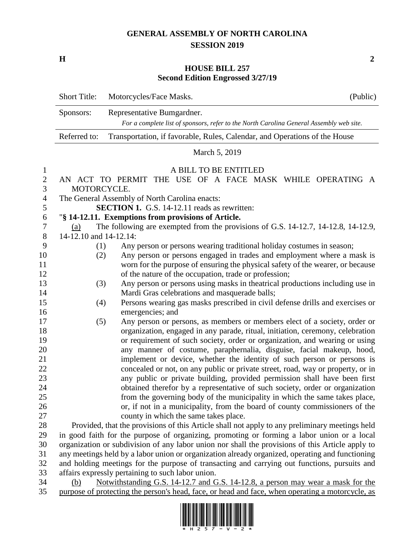## **GENERAL ASSEMBLY OF NORTH CAROLINA SESSION 2019**

**H 2**

## **HOUSE BILL 257 Second Edition Engrossed 3/27/19**

|                     | <b>Short Title:</b>                                                                              | Motorcycles/Face Masks.                               | (Public)                                                                                                                                       |  |
|---------------------|--------------------------------------------------------------------------------------------------|-------------------------------------------------------|------------------------------------------------------------------------------------------------------------------------------------------------|--|
|                     | Sponsors:                                                                                        | Representative Bumgardner.                            |                                                                                                                                                |  |
|                     |                                                                                                  |                                                       | For a complete list of sponsors, refer to the North Carolina General Assembly web site.                                                        |  |
|                     | Referred to:                                                                                     |                                                       | Transportation, if favorable, Rules, Calendar, and Operations of the House                                                                     |  |
|                     | March 5, 2019                                                                                    |                                                       |                                                                                                                                                |  |
| $\mathbf{1}$        |                                                                                                  | A BILL TO BE ENTITLED                                 |                                                                                                                                                |  |
| $\overline{2}$<br>3 | AN ACT TO PERMIT THE USE OF A FACE MASK WHILE OPERATING A<br>MOTORCYCLE.                         |                                                       |                                                                                                                                                |  |
| $\overline{4}$      | The General Assembly of North Carolina enacts:                                                   |                                                       |                                                                                                                                                |  |
| 5                   | <b>SECTION 1.</b> G.S. 14-12.11 reads as rewritten:                                              |                                                       |                                                                                                                                                |  |
| 6                   | "§ 14-12.11. Exemptions from provisions of Article.                                              |                                                       |                                                                                                                                                |  |
| 7                   | The following are exempted from the provisions of G.S. 14-12.7, 14-12.8, 14-12.9,<br>(a)         |                                                       |                                                                                                                                                |  |
| $8\phantom{1}$      | 14-12.10 and 14-12.14:                                                                           |                                                       |                                                                                                                                                |  |
| 9                   | (1)                                                                                              |                                                       | Any person or persons wearing traditional holiday costumes in season;                                                                          |  |
| 10                  | (2)                                                                                              |                                                       | Any person or persons engaged in trades and employment where a mask is                                                                         |  |
| 11                  |                                                                                                  |                                                       | worn for the purpose of ensuring the physical safety of the wearer, or because                                                                 |  |
| 12                  |                                                                                                  | of the nature of the occupation, trade or profession; |                                                                                                                                                |  |
| 13                  | (3)                                                                                              |                                                       | Any person or persons using masks in theatrical productions including use in                                                                   |  |
| 14                  |                                                                                                  | Mardi Gras celebrations and masquerade balls;         |                                                                                                                                                |  |
| 15                  | (4)                                                                                              |                                                       | Persons wearing gas masks prescribed in civil defense drills and exercises or                                                                  |  |
| 16                  |                                                                                                  | emergencies; and                                      |                                                                                                                                                |  |
| 17                  | (5)                                                                                              |                                                       | Any person or persons, as members or members elect of a society, order or                                                                      |  |
| 18                  |                                                                                                  |                                                       | organization, engaged in any parade, ritual, initiation, ceremony, celebration                                                                 |  |
| 19                  |                                                                                                  |                                                       | or requirement of such society, order or organization, and wearing or using                                                                    |  |
| 20                  |                                                                                                  |                                                       | any manner of costume, paraphernalia, disguise, facial makeup, hood,<br>implement or device, whether the identity of such person or persons is |  |
| 21<br>22            |                                                                                                  |                                                       | concealed or not, on any public or private street, road, way or property, or in                                                                |  |
| 23                  |                                                                                                  |                                                       | any public or private building, provided permission shall have been first                                                                      |  |
| 24                  |                                                                                                  |                                                       | obtained therefor by a representative of such society, order or organization                                                                   |  |
| 25                  |                                                                                                  |                                                       | from the governing body of the municipality in which the same takes place,                                                                     |  |
| 26                  |                                                                                                  |                                                       | or, if not in a municipality, from the board of county commissioners of the                                                                    |  |
| 27                  |                                                                                                  | county in which the same takes place.                 |                                                                                                                                                |  |
| 28                  |                                                                                                  |                                                       | Provided, that the provisions of this Article shall not apply to any preliminary meetings held                                                 |  |
| 29                  | in good faith for the purpose of organizing, promoting or forming a labor union or a local       |                                                       |                                                                                                                                                |  |
| 30                  | organization or subdivision of any labor union nor shall the provisions of this Article apply to |                                                       |                                                                                                                                                |  |
| 31                  | any meetings held by a labor union or organization already organized, operating and functioning  |                                                       |                                                                                                                                                |  |
| 32                  | and holding meetings for the purpose of transacting and carrying out functions, pursuits and     |                                                       |                                                                                                                                                |  |
| 33                  | affairs expressly pertaining to such labor union.                                                |                                                       |                                                                                                                                                |  |
| 21                  | $M_{\odot}$ to the tending C C 14.10.7 and C C 14.10.0                                           |                                                       |                                                                                                                                                |  |

 (b) Notwithstanding G.S. 14-12.7 and G.S. 14-12.8, a person may wear a mask for the 35 purpose of protecting the person's head, face, or head and face, when operating a motorcycle, as